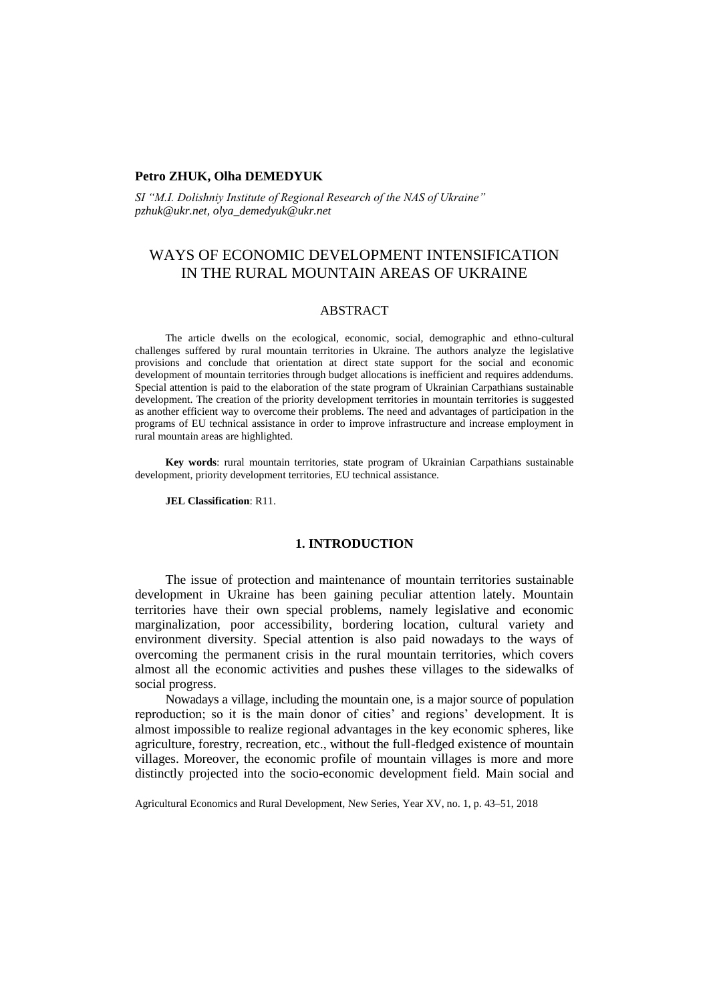## **Petro ZHUK, Olha DEMEDYUK**

*SI "M.I. Dolishniy Institute of Regional Research of the NAS of Ukraine" pzhuk@ukr.net, olya\_demedyuk@ukr.net*

# WAYS OF ECONOMIC DEVELOPMENT INTENSIFICATION IN THE RURAL MOUNTAIN AREAS OF UKRAINE

### ABSTRACT

The article dwells on the ecological, economic, social, demographic and ethno-cultural challenges suffered by rural mountain territories in Ukraine. The authors analyze the legislative provisions and conclude that orientation at direct state support for the social and economic development of mountain territories through budget allocations is inefficient and requires addendums. Special attention is paid to the elaboration of the state program of Ukrainian Carpathians sustainable development. The creation of the priority development territories in mountain territories is suggested as another efficient way to overcome their problems. The need and advantages of participation in the programs of EU technical assistance in order to improve infrastructure and increase employment in rural mountain areas are highlighted.

**Key words**: rural mountain territories, state program of Ukrainian Carpathians sustainable development, priority development territories, EU technical assistance.

**JEL Classification**: R11.

# **1. INTRODUCTION**

The issue of protection and maintenance of mountain territories sustainable development in Ukraine has been gaining peculiar attention lately. Mountain territories have their own special problems, namely legislative and economic marginalization, poor accessibility, bordering location, cultural variety and environment diversity. Special attention is also paid nowadays to the ways of overcoming the permanent crisis in the rural mountain territories, which covers almost all the economic activities and pushes these villages to the sidewalks of social progress.

Nowadays a village, including the mountain one, is a major source of population reproduction; so it is the main donor of cities' and regions' development. It is almost impossible to realize regional advantages in the key economic spheres, like agriculture, forestry, recreation, etc., without the full-fledged existence of mountain villages. Moreover, the economic profile of mountain villages is more and more distinctly projected into the socio-economic development field. Main social and

Agricultural Economics and Rural Development, New Series, Year XV, no. 1, p. 43–51, 2018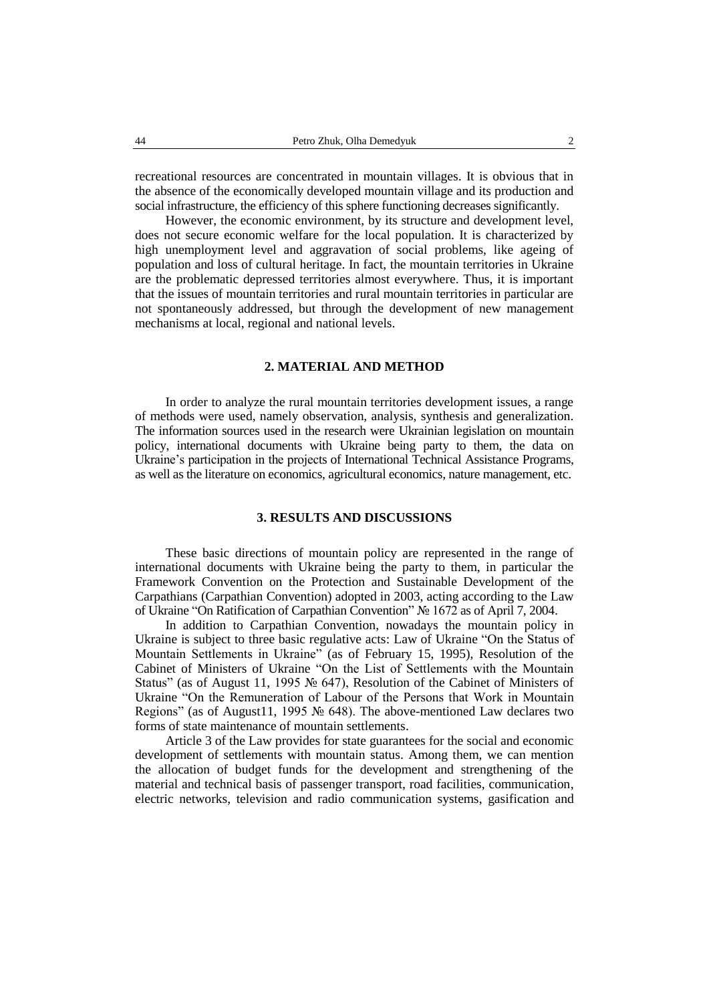recreational resources are concentrated in mountain villages. It is obvious that in the absence of the economically developed mountain village and its production and social infrastructure, the efficiency of this sphere functioning decreases significantly.

However, the economic environment, by its structure and development level, does not secure economic welfare for the local population. It is characterized by high unemployment level and aggravation of social problems, like ageing of population and loss of cultural heritage. In fact, the mountain territories in Ukraine are the problematic depressed territories almost everywhere. Thus, it is important that the issues of mountain territories and rural mountain territories in particular are not spontaneously addressed, but through the development of new management mechanisms at local, regional and national levels.

#### **2. MATERIAL AND METHOD**

In order to analyze the rural mountain territories development issues, a range of methods were used, namely observation, analysis, synthesis and generalization. The information sources used in the research were Ukrainian legislation on mountain policy, international documents with Ukraine being party to them, the data on Ukraine's participation in the projects of International Technical Assistance Programs, as well as the literature on economics, agricultural economics, nature management, etc.

### **3. RESULTS AND DISCUSSIONS**

These basic directions of mountain policy are represented in the range of international documents with Ukraine being the party to them, in particular the Framework Convention on the Protection and Sustainable Development of the Carpathians (Carpathian Convention) adopted in 2003, acting according to the Law of Ukraine "On Ratification of Carpathian Convention" № 1672 as of April 7, 2004.

In addition to Carpathian Convention, nowadays the mountain policy in Ukraine is subject to three basic regulative acts: Law of Ukraine "On the Status of Mountain Settlements in Ukraine" (as of February 15, 1995), Resolution of the Cabinet of Ministers of Ukraine "On the List of Settlements with the Mountain Status" (as of August 11, 1995 № 647), Resolution of the Cabinet of Ministers of Ukraine "On the Remuneration of Labour of the Persons that Work in Mountain Regions" (as of August11, 1995 № 648). The above-mentioned Law declares two forms of state maintenance of mountain settlements.

Article 3 of the Law provides for state guarantees for the social and economic development of settlements with mountain status. Among them, we can mention the allocation of budget funds for the development and strengthening of the material and technical basis of passenger transport, road facilities, communication, electric networks, television and radio communication systems, gasification and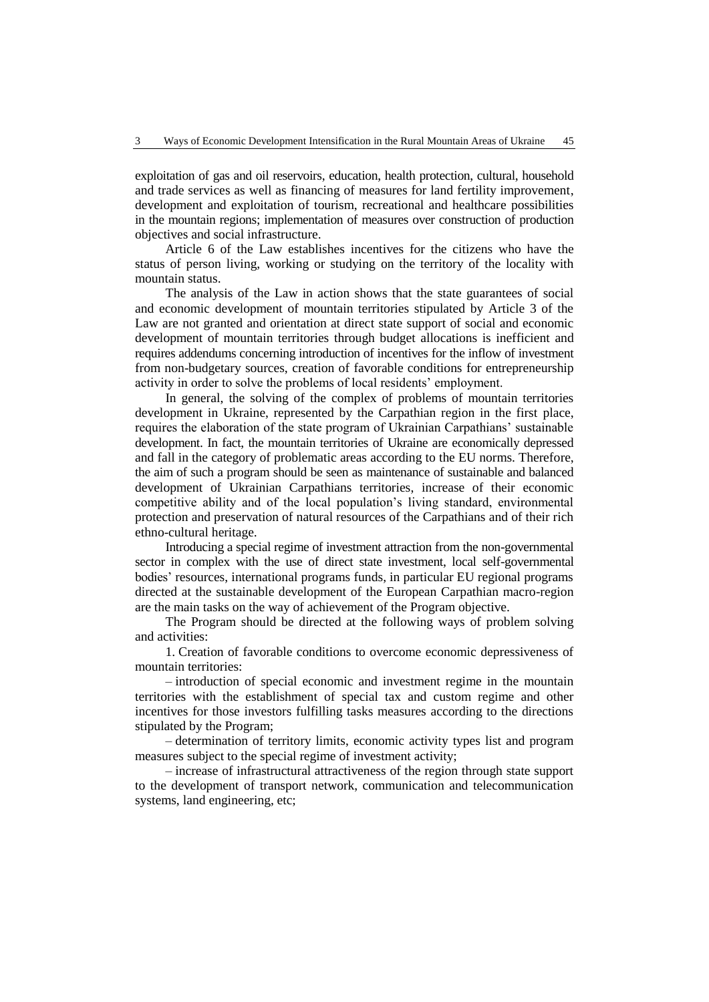exploitation of gas and oil reservoirs, education, health protection, cultural, household and trade services as well as financing of measures for land fertility improvement, development and exploitation of tourism, recreational and healthcare possibilities in the mountain regions; implementation of measures over construction of production objectives and social infrastructure.

Article 6 of the Law establishes incentives for the citizens who have the status of person living, working or studying on the territory of the locality with mountain status.

The analysis of the Law in action shows that the state guarantees of social and economic development of mountain territories stipulated by Article 3 of the Law are not granted and orientation at direct state support of social and economic development of mountain territories through budget allocations is inefficient and requires addendums concerning introduction of incentives for the inflow of investment from non-budgetary sources, creation of favorable conditions for entrepreneurship activity in order to solve the problems of local residents' employment.

In general, the solving of the complex of problems of mountain territories development in Ukraine, represented by the Carpathian region in the first place, requires the elaboration of the state program of Ukrainian Carpathians' sustainable development. In fact, the mountain territories of Ukraine are economically depressed and fall in the category of problematic areas according to the EU norms. Therefore, the aim of such a program should be seen as maintenance of sustainable and balanced development of Ukrainian Carpathians territories, increase of their economic competitive ability and of the local population's living standard, environmental protection and preservation of natural resources of the Carpathians and of their rich ethno-cultural heritage.

Introducing a special regime of investment attraction from the non-governmental sector in complex with the use of direct state investment, local self-governmental bodies' resources, international programs funds, in particular EU regional programs directed at the sustainable development of the European Carpathian macro-region are the main tasks on the way of achievement of the Program objective.

The Program should be directed at the following ways of problem solving and activities:

1. Creation of favorable conditions to overcome economic depressiveness of mountain territories:

– introduction of special economic and investment regime in the mountain territories with the establishment of special tax and custom regime and other incentives for those investors fulfilling tasks measures according to the directions stipulated by the Program;

– determination of territory limits, economic activity types list and program measures subject to the special regime of investment activity;

– increase of infrastructural attractiveness of the region through state support to the development of transport network, communication and telecommunication systems, land engineering, etc;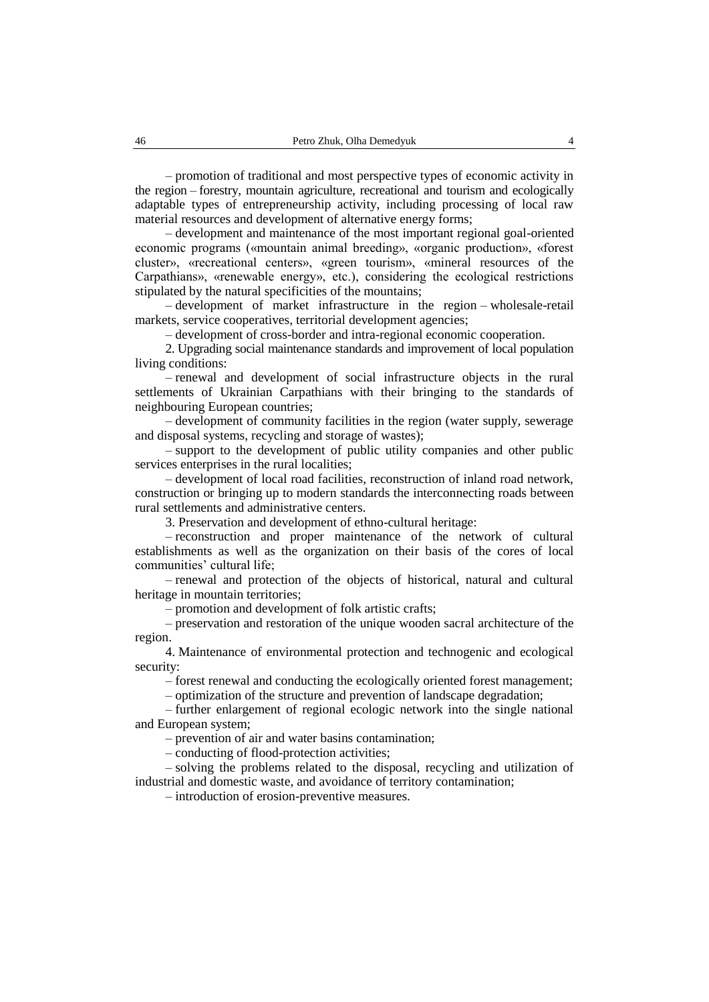– promotion of traditional and most perspective types of economic activity in the region – forestry, mountain agriculture, recreational and tourism and ecologically adaptable types of entrepreneurship activity, including processing of local raw material resources and development of alternative energy forms;

– development and maintenance of the most important regional goal-oriented economic programs («mountain animal breeding», «organic production», «forest cluster», «recreational centers», «green tourism», «mineral resources of the Carpathians», «renewable energy», etc.), considering the ecological restrictions stipulated by the natural specificities of the mountains;

– development of market infrastructure in the region – wholesale-retail markets, service cooperatives, territorial development agencies;

– development of cross-border and intra-regional economic cooperation.

2. Upgrading social maintenance standards and improvement of local population living conditions:

– renewal and development of social infrastructure objects in the rural settlements of Ukrainian Carpathians with their bringing to the standards of neighbouring European countries;

– development of community facilities in the region (water supply, sewerage and disposal systems, recycling and storage of wastes);

– support to the development of public utility companies and other public services enterprises in the rural localities;

– development of local road facilities, reconstruction of inland road network, construction or bringing up to modern standards the interconnecting roads between rural settlements and administrative centers.

3. Preservation and development of ethno-cultural heritage:

– reconstruction and proper maintenance of the network of cultural establishments as well as the organization on their basis of the cores of local communities' cultural life;

– renewal and protection of the objects of historical, natural and cultural heritage in mountain territories;

– promotion and development of folk artistic crafts;

– preservation and restoration of the unique wooden sacral architecture of the region.

4. Maintenance of environmental protection and technogenic and ecological security:

– forest renewal and conducting the ecologically oriented forest management;

– optimization of the structure and prevention of landscape degradation;

– further enlargement of regional ecologic network into the single national and European system;

– prevention of air and water basins contamination;

– conducting of flood-protection activities;

– solving the problems related to the disposal, recycling and utilization of industrial and domestic waste, and avoidance of territory contamination;

– introduction of erosion-preventive measures.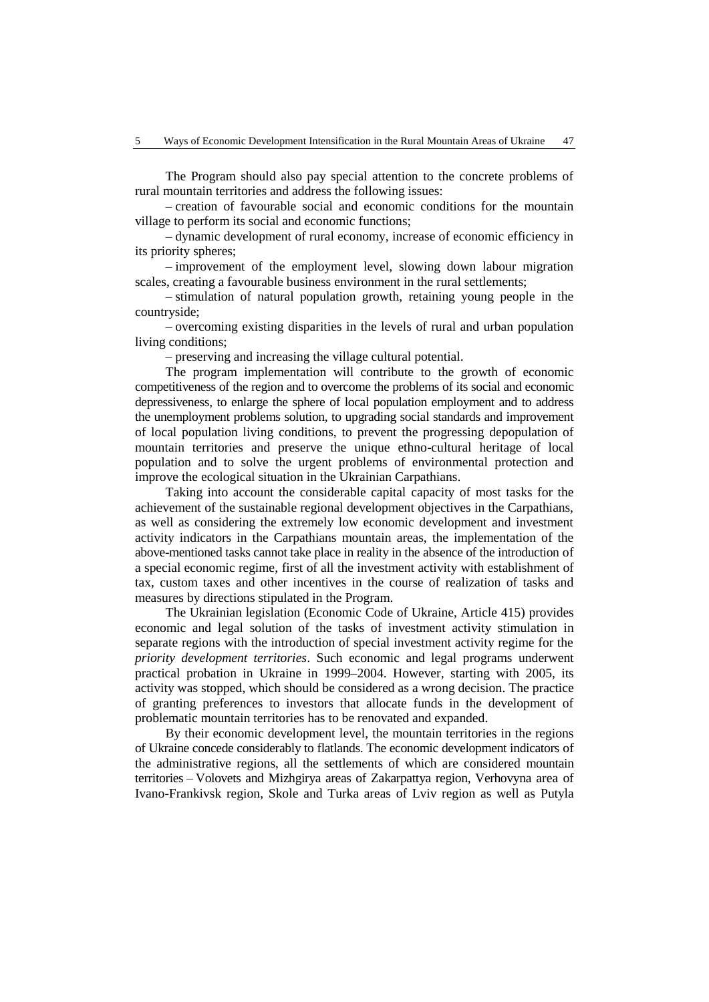The Program should also pay special attention to the concrete problems of rural mountain territories and address the following issues:

– creation of favourable social and economic conditions for the mountain village to perform its social and economic functions;

– dynamic development of rural economy, increase of economic efficiency in its priority spheres;

– improvement of the employment level, slowing down labour migration scales, creating a favourable business environment in the rural settlements;

– stimulation of natural population growth, retaining young people in the countryside;

– overcoming existing disparities in the levels of rural and urban population living conditions;

– preserving and increasing the village cultural potential.

The program implementation will contribute to the growth of economic competitiveness of the region and to overcome the problems of its social and economic depressiveness, to enlarge the sphere of local population employment and to address the unemployment problems solution, to upgrading social standards and improvement of local population living conditions, to prevent the progressing depopulation of mountain territories and preserve the unique ethno-cultural heritage of local population and to solve the urgent problems of environmental protection and improve the ecological situation in the Ukrainian Carpathians.

Taking into account the considerable capital capacity of most tasks for the achievement of the sustainable regional development objectives in the Carpathians, as well as considering the extremely low economic development and investment activity indicators in the Carpathians mountain areas, the implementation of the above-mentioned tasks cannot take place in reality in the absence of the introduction of a special economic regime, first of all the investment activity with establishment of tax, custom taxes and other incentives in the course of realization of tasks and measures by directions stipulated in the Program.

The Ukrainian legislation (Economic Code of Ukraine, Article 415) provides economic and legal solution of the tasks of investment activity stimulation in separate regions with the introduction of special investment activity regime for the *priority development territories*. Such economic and legal programs underwent practical probation in Ukraine in 1999–2004. However, starting with 2005, its activity was stopped, which should be considered as a wrong decision. The practice of granting preferences to investors that allocate funds in the development of problematic mountain territories has to be renovated and expanded.

By their economic development level, the mountain territories in the regions of Ukraine concede considerably to flatlands. The economic development indicators of the administrative regions, all the settlements of which are considered mountain territories – Volovets and Mizhgirya areas of Zakarpattya region, Verhovyna area of Ivano-Frankivsk region, Skole and Turka areas of Lviv region as well as Putyla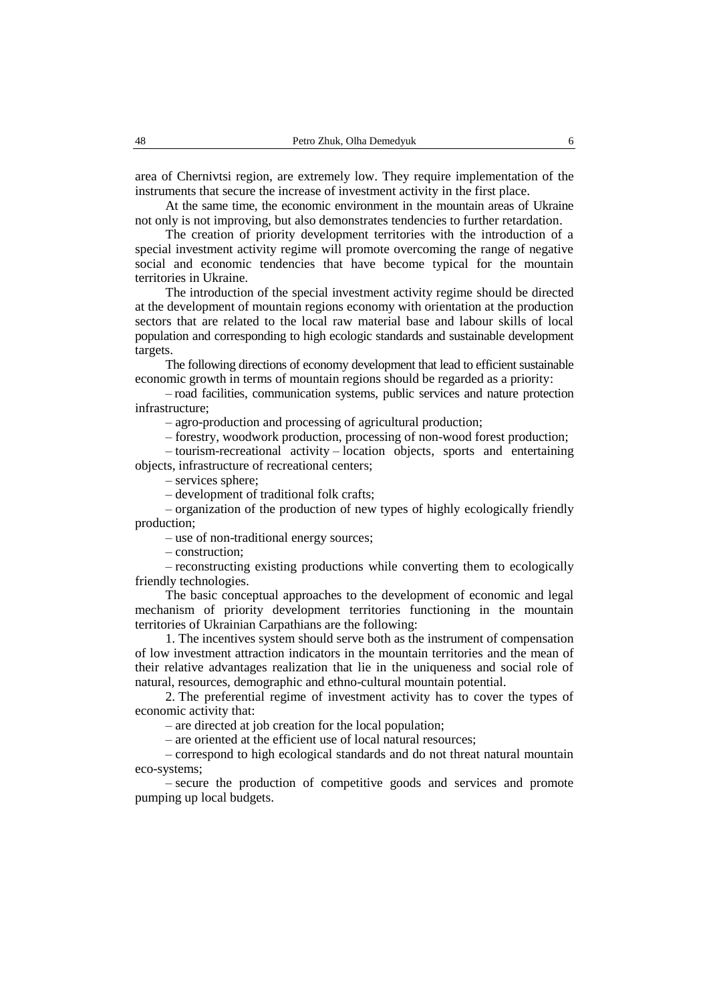area of Chernivtsi region, are extremely low. They require implementation of the instruments that secure the increase of investment activity in the first place.

At the same time, the economic environment in the mountain areas of Ukraine not only is not improving, but also demonstrates tendencies to further retardation.

The creation of priority development territories with the introduction of a special investment activity regime will promote overcoming the range of negative social and economic tendencies that have become typical for the mountain territories in Ukraine.

The introduction of the special investment activity regime should be directed at the development of mountain regions economy with orientation at the production sectors that are related to the local raw material base and labour skills of local population and corresponding to high ecologic standards and sustainable development targets.

The following directions of economy development that lead to efficient sustainable economic growth in terms of mountain regions should be regarded as a priority:

– road facilities, communication systems, public services and nature protection infrastructure;

– agro-production and processing of agricultural production;

– forestry, woodwork production, processing of non-wood forest production;

– tourism-recreational activity – location objects, sports and entertaining objects, infrastructure of recreational centers;

– services sphere;

– development of traditional folk crafts;

– organization of the production of new types of highly ecologically friendly production;

– use of non-traditional energy sources;

– construction;

– reconstructing existing productions while converting them to ecologically friendly technologies.

The basic conceptual approaches to the development of economic and legal mechanism of priority development territories functioning in the mountain territories of Ukrainian Carpathians are the following:

1. The incentives system should serve both as the instrument of compensation of low investment attraction indicators in the mountain territories and the mean of their relative advantages realization that lie in the uniqueness and social role of natural, resources, demographic and ethno-cultural mountain potential.

2. The preferential regime of investment activity has to cover the types of economic activity that:

– are directed at job creation for the local population;

– are oriented at the efficient use of local natural resources;

– correspond to high ecological standards and do not threat natural mountain eco-systems;

– secure the production of competitive goods and services and promote pumping up local budgets.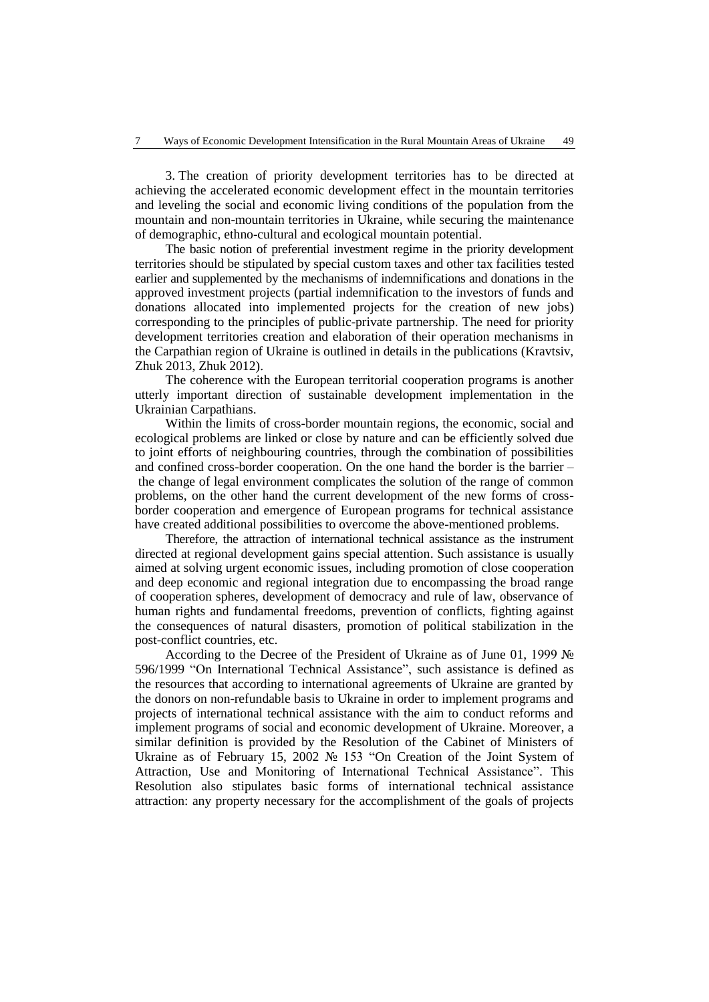3. The creation of priority development territories has to be directed at achieving the accelerated economic development effect in the mountain territories and leveling the social and economic living conditions of the population from the mountain and non-mountain territories in Ukraine, while securing the maintenance of demographic, ethno-cultural and ecological mountain potential.

The basic notion of preferential investment regime in the priority development territories should be stipulated by special custom taxes and other tax facilities tested earlier and supplemented by the mechanisms of indemnifications and donations in the approved investment projects (partial indemnification to the investors of funds and donations allocated into implemented projects for the creation of new jobs) corresponding to the principles of public-private partnership. The need for priority development territories creation and elaboration of their operation mechanisms in the Carpathian region of Ukraine is outlined in details in the publications (Kravtsiv, Zhuk 2013, Zhuk 2012).

The coherence with the European territorial cooperation programs is another utterly important direction of sustainable development implementation in the Ukrainian Carpathians.

Within the limits of cross-border mountain regions, the economic, social and ecological problems are linked or close by nature and can be efficiently solved due to joint efforts of neighbouring countries, through the combination of possibilities and confined cross-border cooperation. On the one hand the border is the barrier – the change of legal environment complicates the solution of the range of common problems, on the other hand the current development of the new forms of crossborder cooperation and emergence of European programs for technical assistance have created additional possibilities to overcome the above-mentioned problems.

Therefore, the attraction of international technical assistance as the instrument directed at regional development gains special attention. Such assistance is usually aimed at solving urgent economic issues, including promotion of close cooperation and deep economic and regional integration due to encompassing the broad range of cooperation spheres, development of democracy and rule of law, observance of human rights and fundamental freedoms, prevention of conflicts, fighting against the consequences of natural disasters, promotion of political stabilization in the post-conflict countries, etc.

According to the Decree of the President of Ukraine as of June 01, 1999 № 596/1999 "On International Technical Assistance", such assistance is defined as the resources that according to international agreements of Ukraine are granted by the donors on non-refundable basis to Ukraine in order to implement programs and projects of international technical assistance with the aim to conduct reforms and implement programs of social and economic development of Ukraine. Moreover, a similar definition is provided by the Resolution of the Cabinet of Ministers of Ukraine as of February 15, 2002 № 153 ["On Creation of the Joint System](http://zakon1.rada.gov.ua/cgi-bin/laws/main.cgi?nreg=153-2002-%EF) of Attraction, Use and [Monitoring of International Technical Assistance".](http://zakon1.rada.gov.ua/cgi-bin/laws/main.cgi?nreg=153-2002-%EF) This Resolution also stipulates basic forms of international technical assistance attraction: any property necessary for the accomplishment of the goals of projects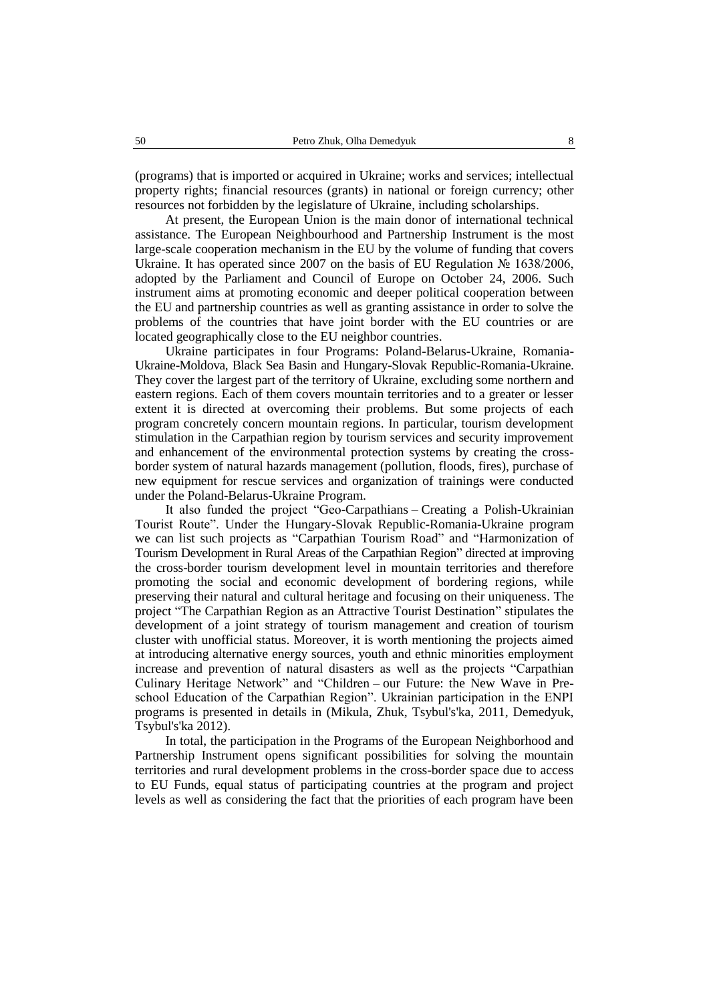(programs) that is imported or acquired in Ukraine; works and services; intellectual property rights; financial resources (grants) in national or foreign currency; other resources not forbidden by the legislature of Ukraine, including scholarships.

At present, the European Union is the main donor of international technical assistance. The European Neighbourhood and Partnership Instrument is the most large-scale cooperation mechanism in the EU by the volume of funding that covers Ukraine. It has operated since 2007 on the basis of EU Regulation  $\mathcal{N}$  1638/2006, adopted by the Parliament and Council of Europe on October 24, 2006. Such instrument aims at promoting economic and deeper political cooperation between the EU and partnership countries as well as granting assistance in order to solve the problems of the countries that have joint border with the EU countries or are located geographically close to the EU neighbor countries.

Ukraine participates in four Programs: Poland-Belarus-Ukraine, Romania-Ukraine-Moldova, Black Sea Basin and Hungary-Slovak Republic-Romania-Ukraine. They cover the largest part of the territory of Ukraine, excluding some northern and eastern regions. Each of them covers mountain territories and to a greater or lesser extent it is directed at overcoming their problems. But some projects of each program concretely concern mountain regions. In particular, tourism development stimulation in the Carpathian region by tourism services and security improvement and enhancement of the environmental protection systems by creating the crossborder system of natural hazards management (pollution, floods, fires), purchase of new equipment for rescue services and organization of trainings were conducted under the Poland-Belarus-Ukraine Program.

It also funded the project "Geo-Carpathians – Creating a Polish-Ukrainian Tourist Route". Under the Hungary-Slovak Republic-Romania-Ukraine program we can list such projects as "Carpathian Tourism Road" and "Harmonization of Tourism Development in Rural Areas of the Carpathian Region" directed at improving the cross-border tourism development level in mountain territories and therefore promoting the social and economic development of bordering regions, while preserving their natural and cultural heritage and focusing on their uniqueness. The project "The Carpathian Region as an Attractive Tourist Destination" stipulates the development of a joint strategy of tourism management and creation of tourism cluster with unofficial status. Moreover, it is worth mentioning the projects aimed at introducing alternative energy sources, youth and ethnic minorities employment increase and prevention of natural disasters as well as the projects "Carpathian Culinary Heritage Network" and "Children – our Future: the New Wave in Preschool Education of the Carpathian Region". Ukrainian participation in the ENPI programs is presented in details in (Mikula, Zhuk, Tsybul's'ka, 2011, Demedyuk, Tsybul's'ka 2012).

In total, the participation in the Programs of the European Neighborhood and Partnership Instrument opens significant possibilities for solving the mountain territories and rural development problems in the cross-border space due to access to EU Funds, equal status of participating countries at the program and project levels as well as considering the fact that the priorities of each program have been